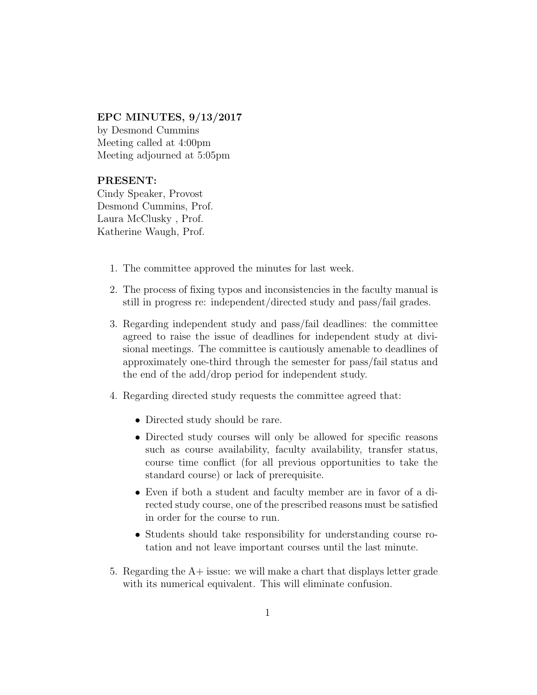## EPC MINUTES, 9/13/2017

by Desmond Cummins Meeting called at 4:00pm Meeting adjourned at 5:05pm

## PRESENT:

Cindy Speaker, Provost Desmond Cummins, Prof. Laura McClusky , Prof. Katherine Waugh, Prof.

- 1. The committee approved the minutes for last week.
- 2. The process of fixing typos and inconsistencies in the faculty manual is still in progress re: independent/directed study and pass/fail grades.
- 3. Regarding independent study and pass/fail deadlines: the committee agreed to raise the issue of deadlines for independent study at divisional meetings. The committee is cautiously amenable to deadlines of approximately one-third through the semester for pass/fail status and the end of the add/drop period for independent study.
- 4. Regarding directed study requests the committee agreed that:
	- Directed study should be rare.
	- Directed study courses will only be allowed for specific reasons such as course availability, faculty availability, transfer status, course time conflict (for all previous opportunities to take the standard course) or lack of prerequisite.
	- Even if both a student and faculty member are in favor of a directed study course, one of the prescribed reasons must be satisfied in order for the course to run.
	- Students should take responsibility for understanding course rotation and not leave important courses until the last minute.
- 5. Regarding the A+ issue: we will make a chart that displays letter grade with its numerical equivalent. This will eliminate confusion.